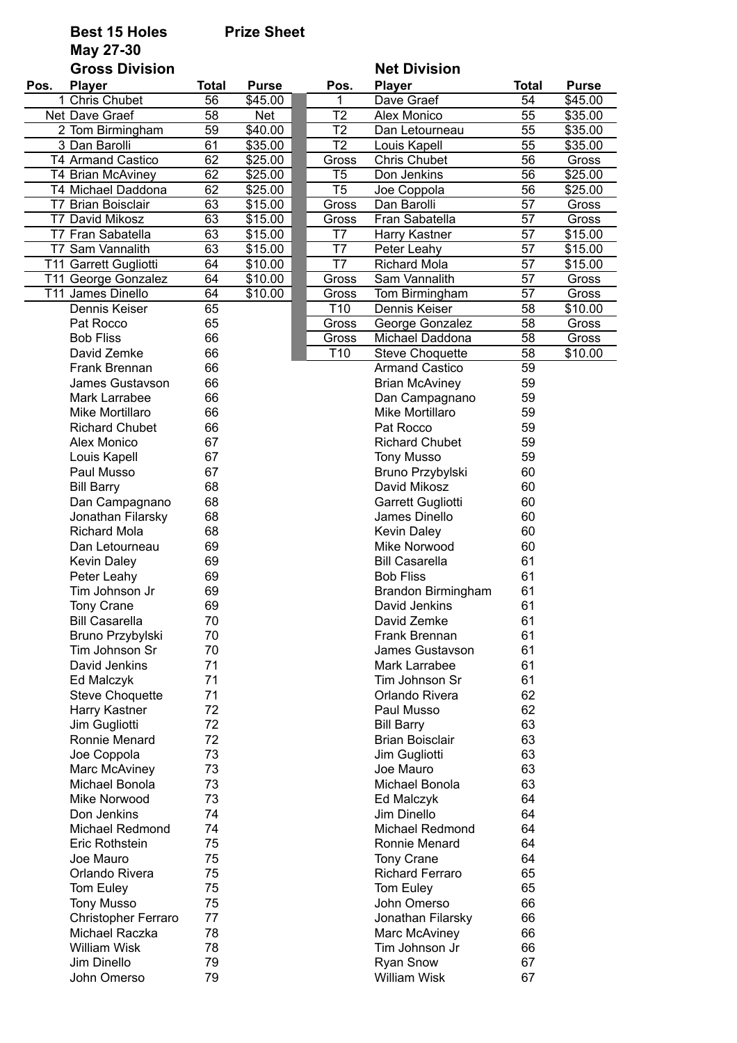## **Best 15 Holes Prize Sheet**

**May 27-30**

|      | <b>Gross Division</b>           |          |              |                 | <b>Net Division</b>       |              |              |
|------|---------------------------------|----------|--------------|-----------------|---------------------------|--------------|--------------|
| Pos. | <b>Player</b>                   | Total    | <b>Purse</b> | Pos.            | <b>Player</b>             | <b>Total</b> | <b>Purse</b> |
|      | 1 Chris Chubet                  | 56       | \$45.00      | 1               | Dave Graef                | 54           | \$45.00      |
|      | Net Dave Graef                  | 58       | <b>Net</b>   | $\overline{12}$ | Alex Monico               | 55           | \$35.00      |
|      | 2 Tom Birmingham                | 59       | \$40.00      | $\overline{12}$ | Dan Letourneau            | 55           | \$35.00      |
|      | 3 Dan Barolli                   | 61       | \$35.00      | $\overline{12}$ | Louis Kapell              | 55           | \$35.00      |
|      | <b>T4 Armand Castico</b>        | 62       | \$25.00      | Gross           | Chris Chubet              | 56           | Gross        |
|      | T4 Brian McAviney               | 62       | \$25.00      | T <sub>5</sub>  | Don Jenkins               | 56           | \$25.00      |
|      | T4 Michael Daddona              | 62       | \$25.00      | T <sub>5</sub>  | Joe Coppola               | 56           | \$25.00      |
|      | T7 Brian Boisclair              | 63       | \$15.00      | Gross           | Dan Barolli               | 57           | Gross        |
|      | <b>T7 David Mikosz</b>          | 63       | \$15.00      | Gross           | Fran Sabatella            | 57           | Gross        |
|      | T7 Fran Sabatella               | 63       | \$15.00      | T7              | Harry Kastner             | 57           | \$15.00      |
|      | T7 Sam Vannalith                | 63       | \$15.00      | $\overline{17}$ | Peter Leahy               | 57           | \$15.00      |
|      | T11 Garrett Gugliotti           | 64       | \$10.00      | $\overline{17}$ | <b>Richard Mola</b>       | 57           | \$15.00      |
|      | T11 George Gonzalez             | 64       | \$10.00      | Gross           | Sam Vannalith             | 57           | Gross        |
|      | T11 James Dinello               | 64       | \$10.00      | Gross           | Tom Birmingham            | 57           | Gross        |
|      | Dennis Keiser                   | 65       |              | T <sub>10</sub> | Dennis Keiser             | 58           | \$10.00      |
|      | Pat Rocco                       | 65       |              | Gross           | George Gonzalez           | 58           | Gross        |
|      | <b>Bob Fliss</b>                | 66       |              | Gross           | Michael Daddona           | 58           | Gross        |
|      | David Zemke                     | 66       |              | T <sub>10</sub> | <b>Steve Choquette</b>    | 58           | \$10.00      |
|      | Frank Brennan                   | 66       |              |                 | <b>Armand Castico</b>     | 59           |              |
|      | James Gustavson                 | 66       |              |                 | <b>Brian McAviney</b>     | 59           |              |
|      | Mark Larrabee                   | 66       |              |                 | Dan Campagnano            | 59           |              |
|      | Mike Mortillaro                 | 66       |              |                 | Mike Mortillaro           | 59           |              |
|      | <b>Richard Chubet</b>           | 66       |              |                 | Pat Rocco                 | 59           |              |
|      | Alex Monico                     | 67       |              |                 | <b>Richard Chubet</b>     | 59           |              |
|      | Louis Kapell                    | 67       |              |                 | <b>Tony Musso</b>         | 59           |              |
|      | Paul Musso                      | 67       |              |                 | Bruno Przybylski          | 60           |              |
|      | <b>Bill Barry</b>               | 68       |              |                 | David Mikosz              | 60           |              |
|      | Dan Campagnano                  | 68       |              |                 | Garrett Gugliotti         | 60           |              |
|      | Jonathan Filarsky               | 68       |              |                 | James Dinello             | 60           |              |
|      | <b>Richard Mola</b>             | 68       |              |                 | <b>Kevin Daley</b>        | 60           |              |
|      | Dan Letourneau                  | 69       |              |                 | Mike Norwood              | 60           |              |
|      | <b>Kevin Daley</b>              | 69       |              |                 | <b>Bill Casarella</b>     | 61           |              |
|      | Peter Leahy                     | 69       |              |                 | <b>Bob Fliss</b>          | 61           |              |
|      | Tim Johnson Jr                  | 69       |              |                 | Brandon Birmingham        | 61           |              |
|      | Tony Crane                      | 69       |              |                 | David Jenkins             | 61           |              |
|      | <b>Bill Casarella</b>           | 70       |              |                 | David Zemke               | 61           |              |
|      | Bruno Przybylski                | 70       |              |                 | Frank Brennan             | 61           |              |
|      | Tim Johnson Sr                  | 70       |              |                 | James Gustavson           | 61           |              |
|      | David Jenkins                   | 71       |              |                 | Mark Larrabee             | 61           |              |
|      | Ed Malczyk                      | 71       |              |                 | Tim Johnson Sr            | 61           |              |
|      | <b>Steve Choquette</b>          | 71       |              |                 | Orlando Rivera            | 62           |              |
|      | Harry Kastner                   | 72       |              |                 | Paul Musso                | 62           |              |
|      | Jim Gugliotti                   | 72       |              |                 | <b>Bill Barry</b>         | 63           |              |
|      | Ronnie Menard                   | 72       |              |                 | <b>Brian Boisclair</b>    | 63           |              |
|      | Joe Coppola                     | 73       |              |                 | Jim Gugliotti             | 63           |              |
|      |                                 | 73       |              |                 | Joe Mauro                 | 63           |              |
|      | Marc McAviney<br>Michael Bonola | 73       |              |                 | Michael Bonola            | 63           |              |
|      | Mike Norwood                    |          |              |                 |                           | 64           |              |
|      |                                 | 73<br>74 |              |                 | Ed Malczyk<br>Jim Dinello | 64           |              |
|      | Don Jenkins                     |          |              |                 |                           |              |              |
|      | <b>Michael Redmond</b>          | 74<br>75 |              |                 | <b>Michael Redmond</b>    | 64<br>64     |              |
|      | Eric Rothstein                  |          |              |                 | Ronnie Menard             | 64           |              |
|      | Joe Mauro                       | 75       |              |                 | Tony Crane                |              |              |
|      | Orlando Rivera                  | 75       |              |                 | <b>Richard Ferraro</b>    | 65           |              |
|      | Tom Euley                       | 75       |              |                 | Tom Euley                 | 65           |              |
|      | <b>Tony Musso</b>               | 75       |              |                 | John Omerso               | 66           |              |
|      | <b>Christopher Ferraro</b>      | 77       |              |                 | Jonathan Filarsky         | 66           |              |
|      | Michael Raczka                  | 78       |              |                 | Marc McAviney             | 66           |              |
|      | <b>William Wisk</b>             | 78       |              |                 | Tim Johnson Jr            | 66           |              |
|      | Jim Dinello                     | 79       |              |                 | <b>Ryan Snow</b>          | 67           |              |
|      | John Omerso                     | 79       |              |                 | <b>William Wisk</b>       | 67           |              |